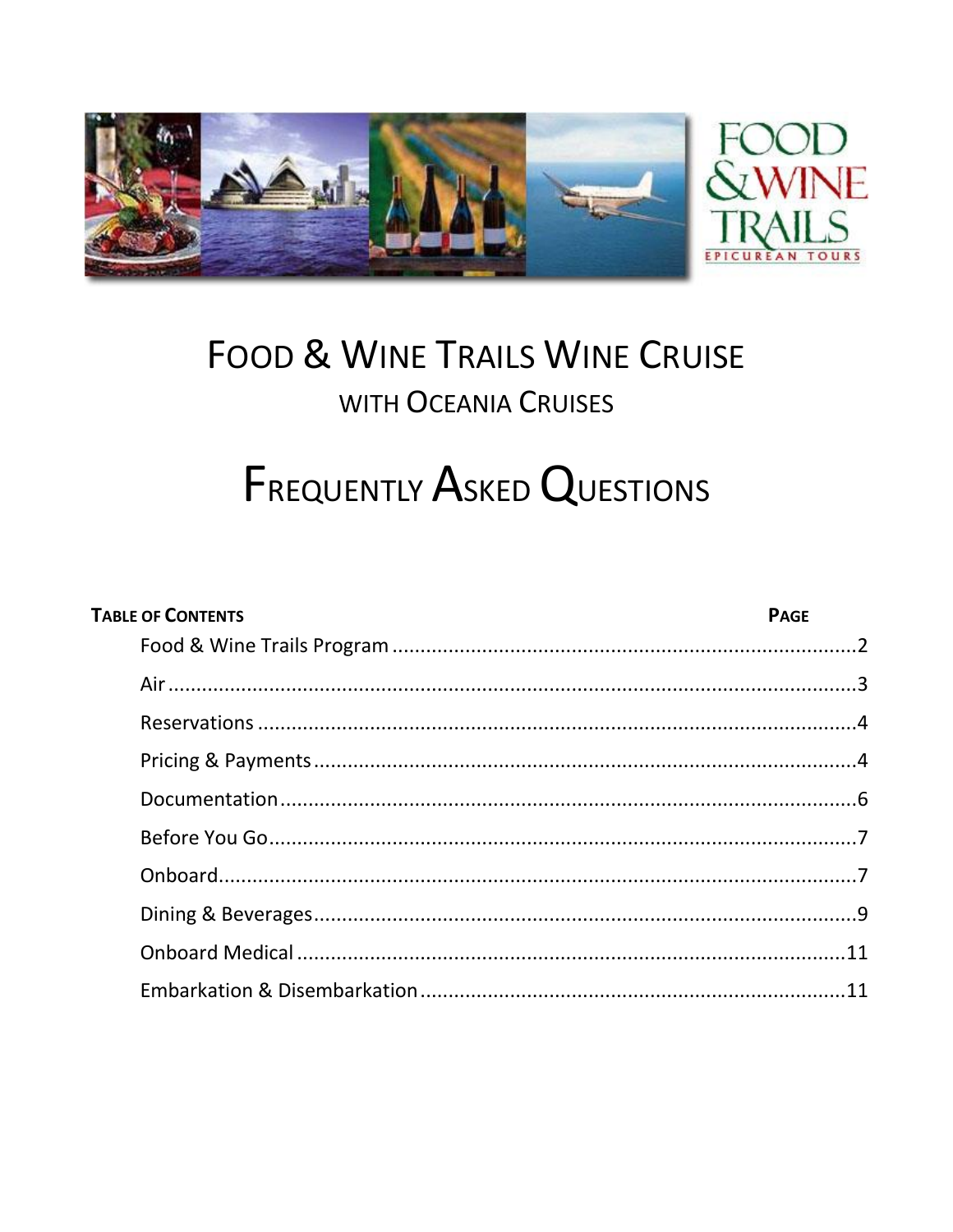

## **FOOD & WINE TRAILS WINE CRUISE** WITH OCEANIA CRUISES

# **FREQUENTLY ASKED QUESTIONS**

| <b>TABLE OF CONTENTS</b> | <b>PAGE</b> |
|--------------------------|-------------|
|                          |             |
|                          |             |
|                          |             |
|                          |             |
|                          |             |
|                          |             |
|                          |             |
|                          |             |
|                          |             |
|                          |             |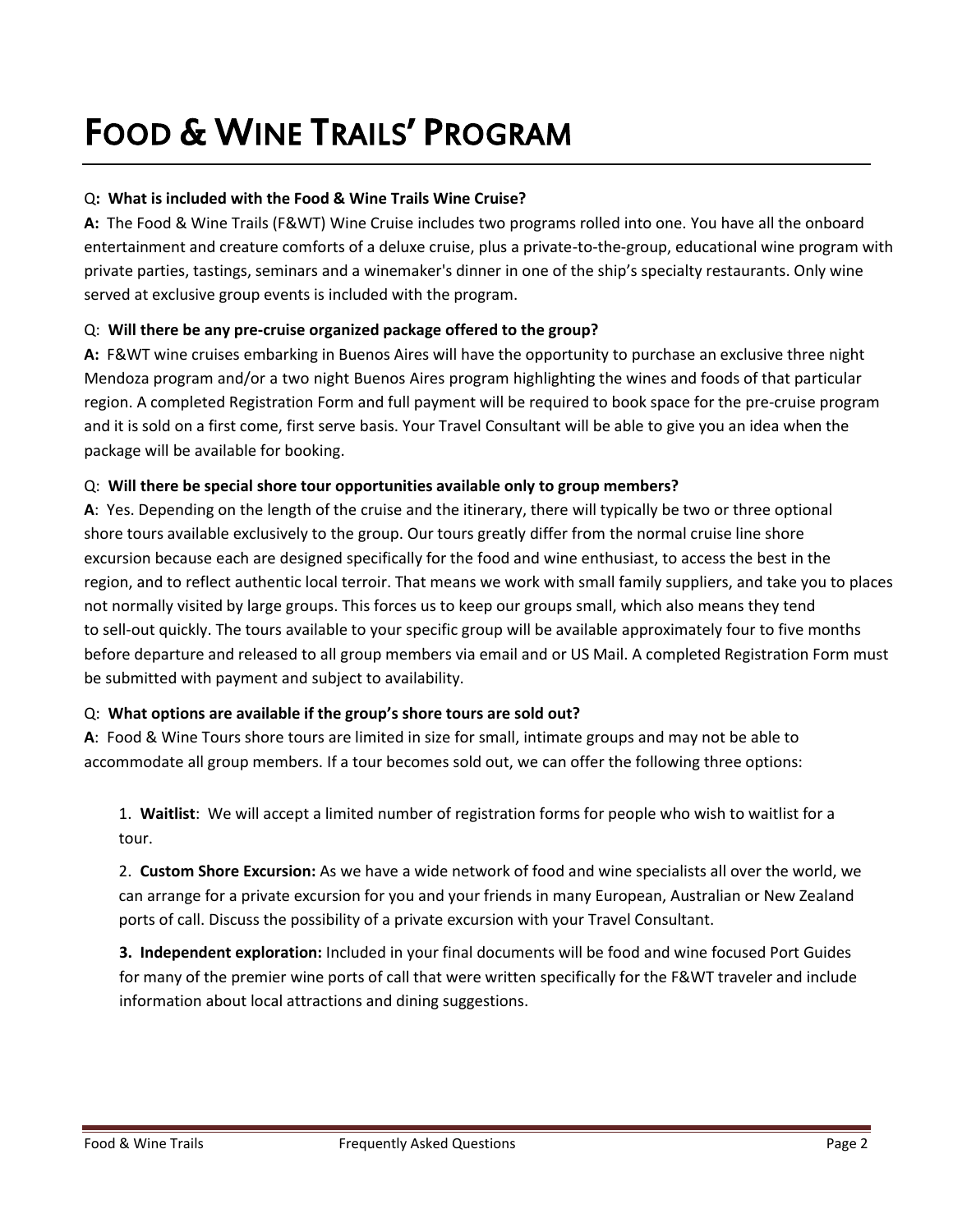## FOOD & WINE TRAILS' PROGRAM

## Q**: What is included with the Food & Wine Trails Wine Cruise?**

**A:** The Food & Wine Trails (F&WT) Wine Cruise includes two programs rolled into one. You have all the onboard entertainment and creature comforts of a deluxe cruise, plus a private-to-the-group, educational wine program with private parties, tastings, seminars and a winemaker's dinner in one of the ship's specialty restaurants. Only wine served at exclusive group events is included with the program.

## Q: **Will there be any pre-cruise organized package offered to the group?**

**A:** F&WT wine cruises embarking in Buenos Aires will have the opportunity to purchase an exclusive three night Mendoza program and/or a two night Buenos Aires program highlighting the wines and foods of that particular region. A completed Registration Form and full payment will be required to book space for the pre-cruise program and it is sold on a first come, first serve basis. Your Travel Consultant will be able to give you an idea when the package will be available for booking.

## Q: **Will there be special shore tour opportunities available only to group members?**

**A**: Yes. Depending on the length of the cruise and the itinerary, there will typically be two or three optional shore tours available exclusively to the group. Our tours greatly differ from the normal cruise line shore excursion because each are designed specifically for the food and wine enthusiast, to access the best in the region, and to reflect authentic local terroir. That means we work with small family suppliers, and take you to places not normally visited by large groups. This forces us to keep our groups small, which also means they tend to sell-out quickly. The tours available to your specific group will be available approximately four to five months before departure and released to all group members via email and or US Mail. A completed Registration Form must be submitted with payment and subject to availability.

## Q: **What options are available if the group's shore tours are sold out?**

**A**: Food & Wine Tours shore tours are limited in size for small, intimate groups and may not be able to accommodate all group members. If a tour becomes sold out, we can offer the following three options:

1. **Waitlist**: We will accept a limited number of registration forms for people who wish to waitlist for a tour.

2. **Custom Shore Excursion:** As we have a wide network of food and wine specialists all over the world, we can arrange for a private excursion for you and your friends in many European, Australian or New Zealand ports of call. Discuss the possibility of a private excursion with your Travel Consultant.

**3. Independent exploration:** Included in your final documents will be food and wine focused Port Guides for many of the premier wine ports of call that were written specifically for the F&WT traveler and include information about local attractions and dining suggestions.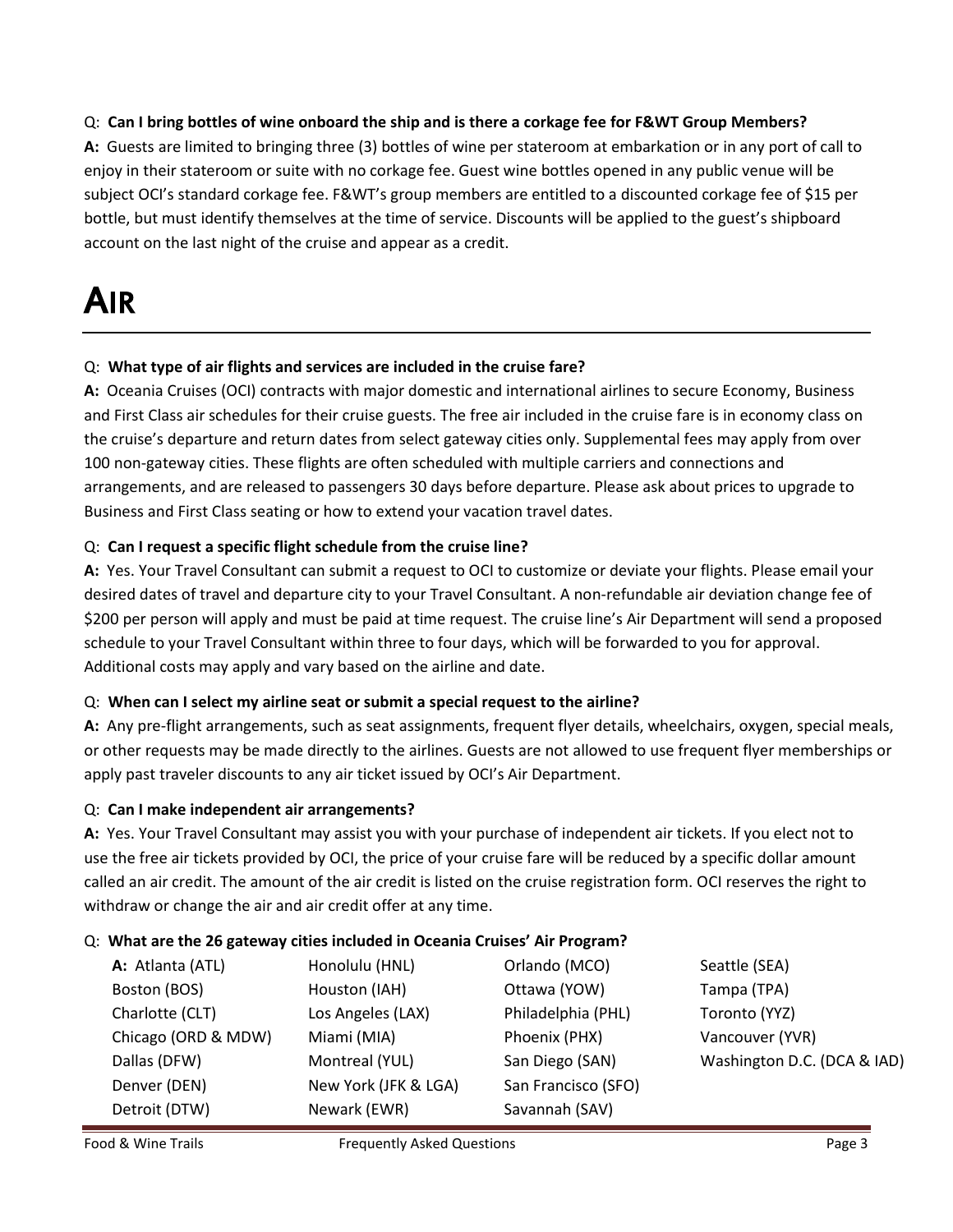## Q: **Can I bring bottles of wine onboard the ship and is there a corkage fee for F&WT Group Members?**

**A:** Guests are limited to bringing three (3) bottles of wine per stateroom at embarkation or in any port of call to enjoy in their stateroom or suite with no corkage fee. Guest wine bottles opened in any public venue will be subject OCI's standard corkage fee. F&WT's group members are entitled to a discounted corkage fee of \$15 per bottle, but must identify themselves at the time of service. Discounts will be applied to the guest's shipboard account on the last night of the cruise and appear as a credit.

## AIR

## Q: **What type of air flights and services are included in the cruise fare?**

**A:** Oceania Cruises (OCI) contracts with major domestic and international airlines to secure Economy, Business and First Class air schedules for their cruise guests. The free air included in the cruise fare is in economy class on the cruise's departure and return dates from select gateway cities only. Supplemental fees may apply from over 100 non-gateway cities. These flights are often scheduled with multiple carriers and connections and arrangements, and are released to passengers 30 days before departure. Please ask about prices to upgrade to Business and First Class seating or how to extend your vacation travel dates.

## Q: **Can I request a specific flight schedule from the cruise line?**

**A:** Yes. Your Travel Consultant can submit a request to OCI to customize or deviate your flights. Please email your desired dates of travel and departure city to your Travel Consultant. A non-refundable air deviation change fee of \$200 per person will apply and must be paid at time request. The cruise line's Air Department will send a proposed schedule to your Travel Consultant within three to four days, which will be forwarded to you for approval. Additional costs may apply and vary based on the airline and date.

### Q: **When can I select my airline seat or submit a special request to the airline?**

**A:** Any pre-flight arrangements, such as seat assignments, frequent flyer details, wheelchairs, oxygen, special meals, or other requests may be made directly to the airlines. Guests are not allowed to use frequent flyer memberships or apply past traveler discounts to any air ticket issued by OCI's Air Department.

### Q: **Can I make independent air arrangements?**

**A:** Yes. Your Travel Consultant may assist you with your purchase of independent air tickets. If you elect not to use the free air tickets provided by OCI, the price of your cruise fare will be reduced by a specific dollar amount called an air credit. The amount of the air credit is listed on the cruise registration form. OCI reserves the right to withdraw or change the air and air credit offer at any time.

### Q: **What are the 26 gateway cities included in Oceania Cruises' Air Program?**

| A: Atlanta (ATL)    | Honolulu (HNL)       | Orlando (MCO)       | Seattle (SEA)               |
|---------------------|----------------------|---------------------|-----------------------------|
| Boston (BOS)        | Houston (IAH)        | Ottawa (YOW)        | Tampa (TPA)                 |
| Charlotte (CLT)     | Los Angeles (LAX)    | Philadelphia (PHL)  | Toronto (YYZ)               |
| Chicago (ORD & MDW) | Miami (MIA)          | Phoenix (PHX)       | Vancouver (YVR)             |
| Dallas (DFW)        | Montreal (YUL)       | San Diego (SAN)     | Washington D.C. (DCA & IAD) |
| Denver (DEN)        | New York (JFK & LGA) | San Francisco (SFO) |                             |
| Detroit (DTW)       | Newark (EWR)         | Savannah (SAV)      |                             |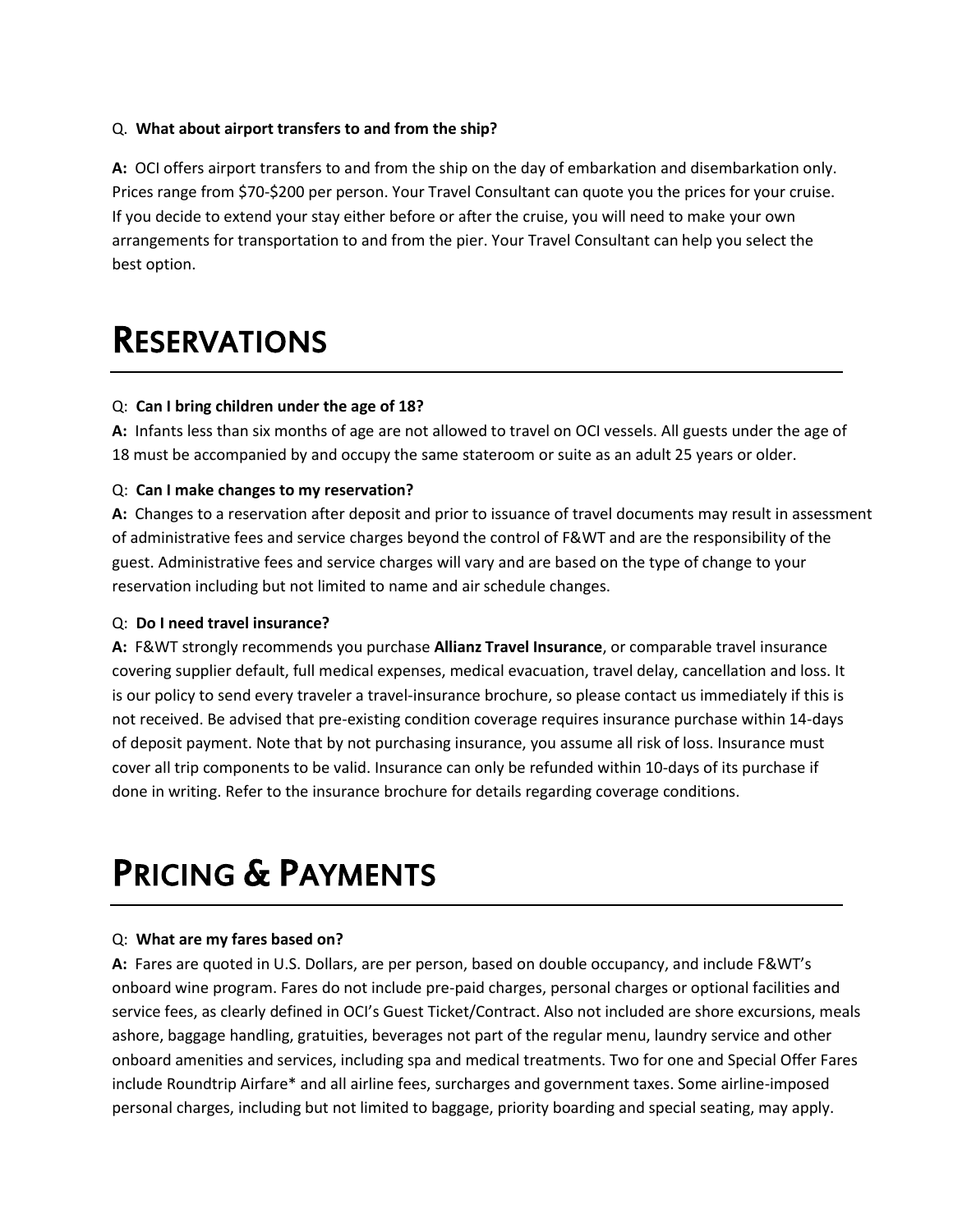## Q. **What about airport transfers to and from the ship?**

**A:** OCI offers airport transfers to and from the ship on the day of embarkation and disembarkation only. Prices range from \$70-\$200 per person. Your Travel Consultant can quote you the prices for your cruise. If you decide to extend your stay either before or after the cruise, you will need to make your own arrangements for transportation to and from the pier. Your Travel Consultant can help you select the best option.

## RESERVATIONS

### Q: **Can I bring children under the age of 18?**

**A:** Infants less than six months of age are not allowed to travel on OCI vessels. All guests under the age of 18 must be accompanied by and occupy the same stateroom or suite as an adult 25 years or older.

#### Q: **Can I make changes to my reservation?**

**A:** Changes to a reservation after deposit and prior to issuance of travel documents may result in assessment of administrative fees and service charges beyond the control of F&WT and are the responsibility of the guest. Administrative fees and service charges will vary and are based on the type of change to your reservation including but not limited to name and air schedule changes.

#### Q: **Do I need travel insurance?**

**A:** F&WT strongly recommends you purchase **Allianz Travel Insurance**, or comparable travel insurance covering supplier default, full medical expenses, medical evacuation, travel delay, cancellation and loss. It is our policy to send every traveler a travel-insurance brochure, so please contact us immediately if this is not received. Be advised that pre-existing condition coverage requires insurance purchase within 14-days of deposit payment. Note that by not purchasing insurance, you assume all risk of loss. Insurance must cover all trip components to be valid. Insurance can only be refunded within 10-days of its purchase if done in writing. Refer to the insurance brochure for details regarding coverage conditions.

## PRICING & PAYMENTS

#### Q: **What are my fares based on?**

**A:** Fares are quoted in U.S. Dollars, are per person, based on double occupancy, and include F&WT's onboard wine program. Fares do not include pre-paid charges, personal charges or optional facilities and service fees, as clearly defined in OCI's Guest Ticket/Contract. Also not included are shore excursions, meals ashore, baggage handling, gratuities, beverages not part of the regular menu, laundry service and other onboard amenities and services, including spa and medical treatments. Two for one and Special Offer Fares include Roundtrip Airfare\* and all airline fees, surcharges and government taxes. Some airline-imposed personal charges, including but not limited to baggage, priority boarding and special seating, may apply.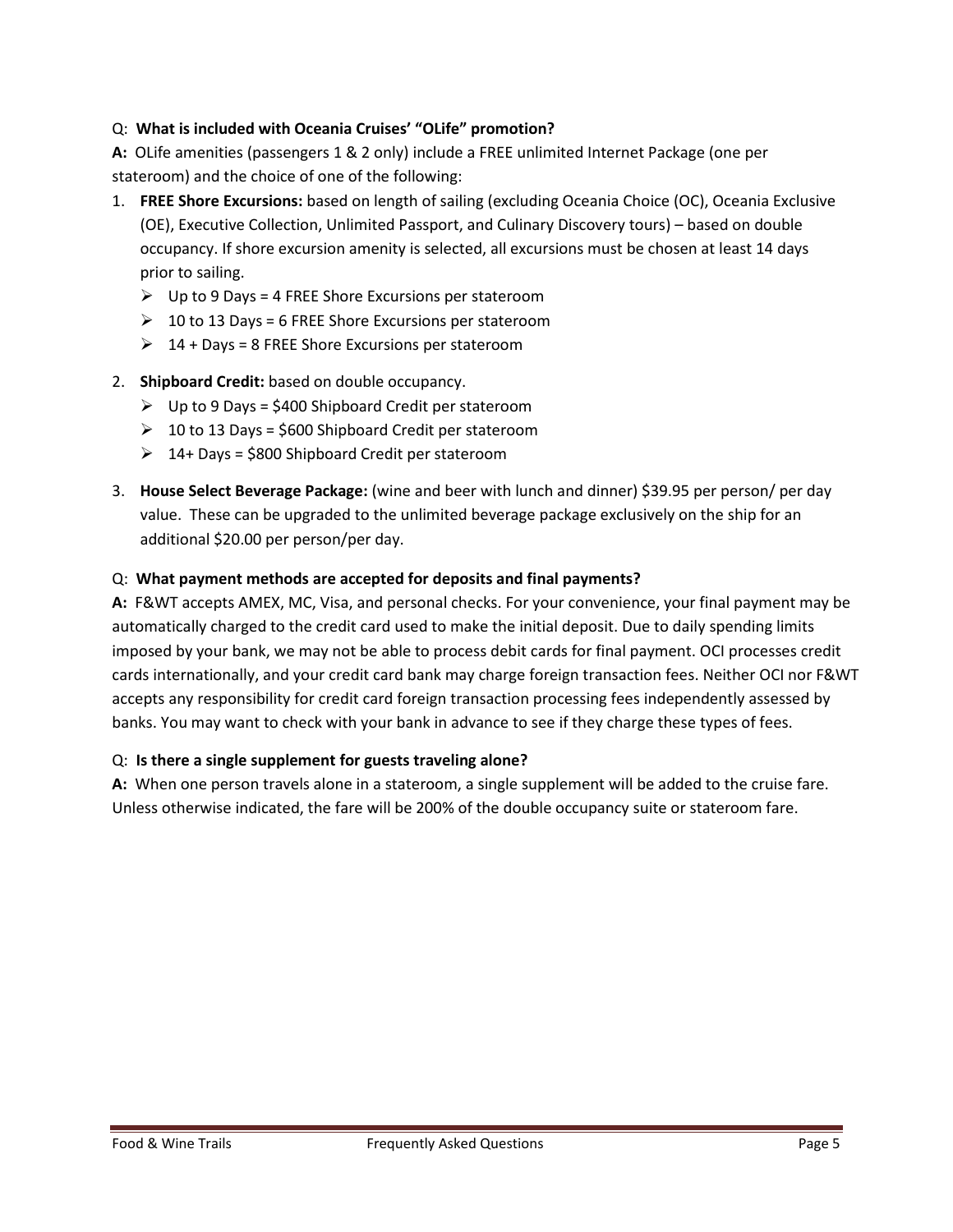## Q: **What is included with Oceania Cruises' "OLife" promotion?**

**A:** OLife amenities (passengers 1 & 2 only) include a FREE unlimited Internet Package (one per stateroom) and the choice of one of the following:

- 1. **FREE Shore Excursions:** based on length of sailing (excluding Oceania Choice (OC), Oceania Exclusive (OE), Executive Collection, Unlimited Passport, and Culinary Discovery tours) – based on double occupancy. If shore excursion amenity is selected, all excursions must be chosen at least 14 days prior to sailing.
	- $\triangleright$  Up to 9 Days = 4 FREE Shore Excursions per stateroom
	- $\geq 10$  to 13 Days = 6 FREE Shore Excursions per stateroom
	- $\geq 14 + \text{days} = 8$  FREE Shore Excursions per stateroom
- 2. **Shipboard Credit:** based on double occupancy.
	- $\triangleright$  Up to 9 Days = \$400 Shipboard Credit per stateroom
	- $\geq 10$  to 13 Days = \$600 Shipboard Credit per stateroom
	- $\geq 14+$  Days = \$800 Shipboard Credit per stateroom
- 3. **House Select Beverage Package:** (wine and beer with lunch and dinner) \$39.95 per person/ per day value. These can be upgraded to the unlimited beverage package exclusively on the ship for an additional \$20.00 per person/per day.

### Q: **What payment methods are accepted for deposits and final payments?**

**A:** F&WT accepts AMEX, MC, Visa, and personal checks. For your convenience, your final payment may be automatically charged to the credit card used to make the initial deposit. Due to daily spending limits imposed by your bank, we may not be able to process debit cards for final payment. OCI processes credit cards internationally, and your credit card bank may charge foreign transaction fees. Neither OCI nor F&WT accepts any responsibility for credit card foreign transaction processing fees independently assessed by banks. You may want to check with your bank in advance to see if they charge these types of fees.

### Q: **Is there a single supplement for guests traveling alone?**

**A:** When one person travels alone in a stateroom, a single supplement will be added to the cruise fare. Unless otherwise indicated, the fare will be 200% of the double occupancy suite or stateroom fare.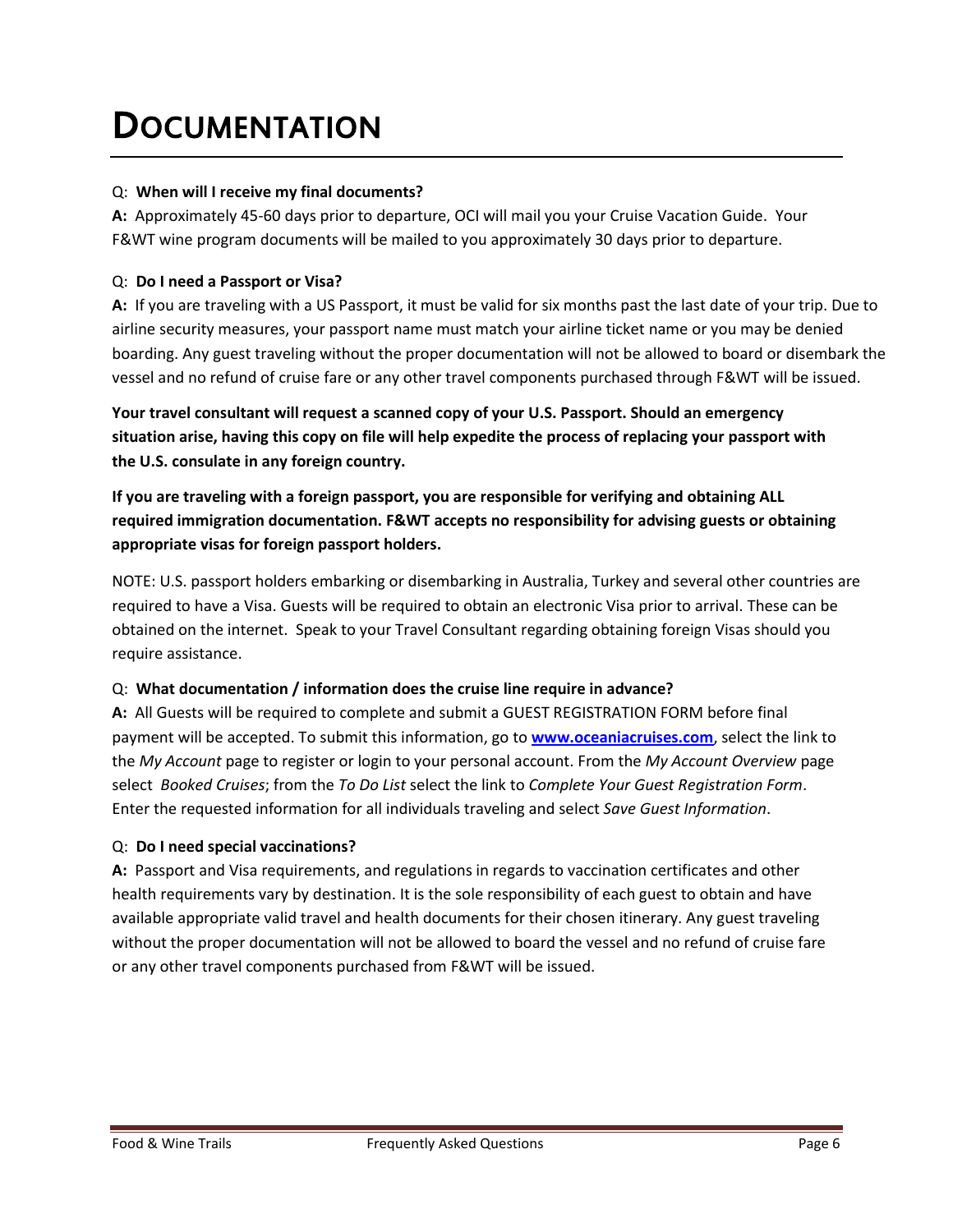## **DOCUMENTATION**

## Q: **When will I receive my final documents?**

**A:** Approximately 45-60 days prior to departure, OCI will mail you your Cruise Vacation Guide. Your F&WT wine program documents will be mailed to you approximately 30 days prior to departure.

## Q: **Do I need a Passport or Visa?**

**A:** If you are traveling with a US Passport, it must be valid for six months past the last date of your trip. Due to airline security measures, your passport name must match your airline ticket name or you may be denied boarding. Any guest traveling without the proper documentation will not be allowed to board or disembark the vessel and no refund of cruise fare or any other travel components purchased through F&WT will be issued.

**Your travel consultant will request a scanned copy of your U.S. Passport. Should an emergency situation arise, having this copy on file will help expedite the process of replacing your passport with the U.S. consulate in any foreign country.**

**If you are traveling with a foreign passport, you are responsible for verifying and obtaining ALL required immigration documentation. F&WT accepts no responsibility for advising guests or obtaining appropriate visas for foreign passport holders.**

NOTE: U.S. passport holders embarking or disembarking in Australia, Turkey and several other countries are required to have a Visa. Guests will be required to obtain an electronic Visa prior to arrival. These can be obtained on the internet. Speak to your Travel Consultant regarding obtaining foreign Visas should you require assistance.

## Q: **What documentation / information does the cruise line require in advance?**

**A:** All Guests will be required to complete and submit a GUEST REGISTRATION FORM before final payment will be accepted. To submit this information, go to **[www.oceaniacruises.com](http://www.oceaniacruises.com/)**, select the link to the *My Account* page to register or login to your personal account. From the *My Account Overview* page select *Booked Cruises*; from the *To Do List* select the link to *Complete Your Guest Registration Form*. Enter the requested information for all individuals traveling and select *Save Guest Information*.

## Q: **Do I need special vaccinations?**

**A:** Passport and Visa requirements, and regulations in regards to vaccination certificates and other health requirements vary by destination. It is the sole responsibility of each guest to obtain and have available appropriate valid travel and health documents for their chosen itinerary. Any guest traveling without the proper documentation will not be allowed to board the vessel and no refund of cruise fare or any other travel components purchased from F&WT will be issued.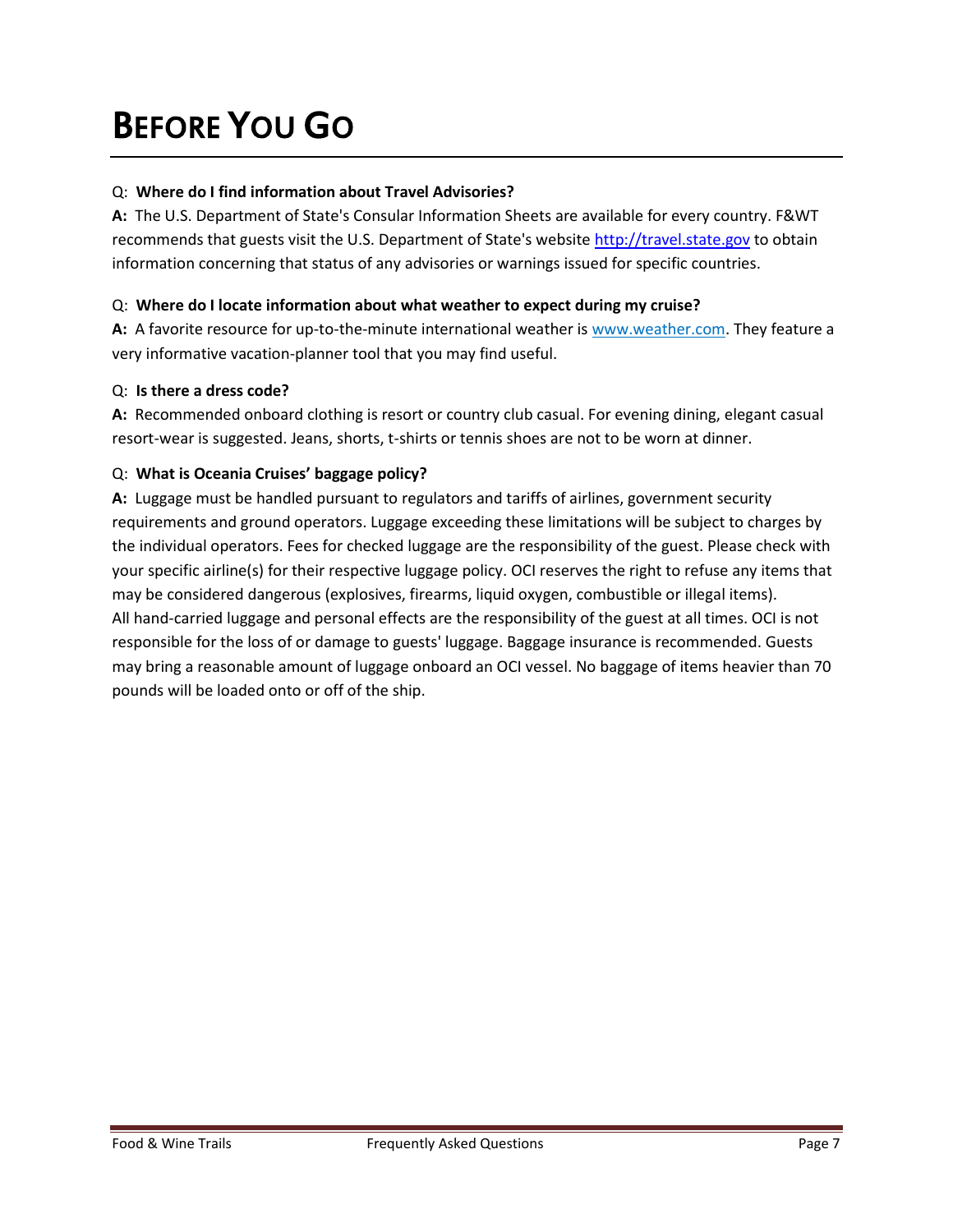## BEFORE YOU GO

## Q: **Where do I find information about Travel Advisories?**

**A:** The U.S. Department of State's Consular Information Sheets are available for every country. F&WT recommends that guests visit the U.S. Department of State's website [http://travel.state.gov](http://travel.state.gov/) to obtain information concerning that status of any advisories or warnings issued for specific countries.

## Q: **Where do I locate information about what weather to expect during my cruise?**

**A:** A favorite resource for up-to-the-minute international weather is www.weather.com. They feature a very informative vacation-planner tool that you may find useful.

## Q: **Is there a dress code?**

**A:** Recommended onboard clothing is resort or country club casual. For evening dining, elegant casual resort-wear is suggested. Jeans, shorts, t-shirts or tennis shoes are not to be worn at dinner.

## Q: **What is Oceania Cruises' baggage policy?**

**A:** Luggage must be handled pursuant to regulators and tariffs of airlines, government security requirements and ground operators. Luggage exceeding these limitations will be subject to charges by the individual operators. Fees for checked luggage are the responsibility of the guest. Please check with your specific airline(s) for their respective luggage policy. OCI reserves the right to refuse any items that may be considered dangerous (explosives, firearms, liquid oxygen, combustible or illegal items). All hand-carried luggage and personal effects are the responsibility of the guest at all times. OCI is not responsible for the loss of or damage to guests' luggage. Baggage insurance is recommended. Guests may bring a reasonable amount of luggage onboard an OCI vessel. No baggage of items heavier than 70 pounds will be loaded onto or off of the ship.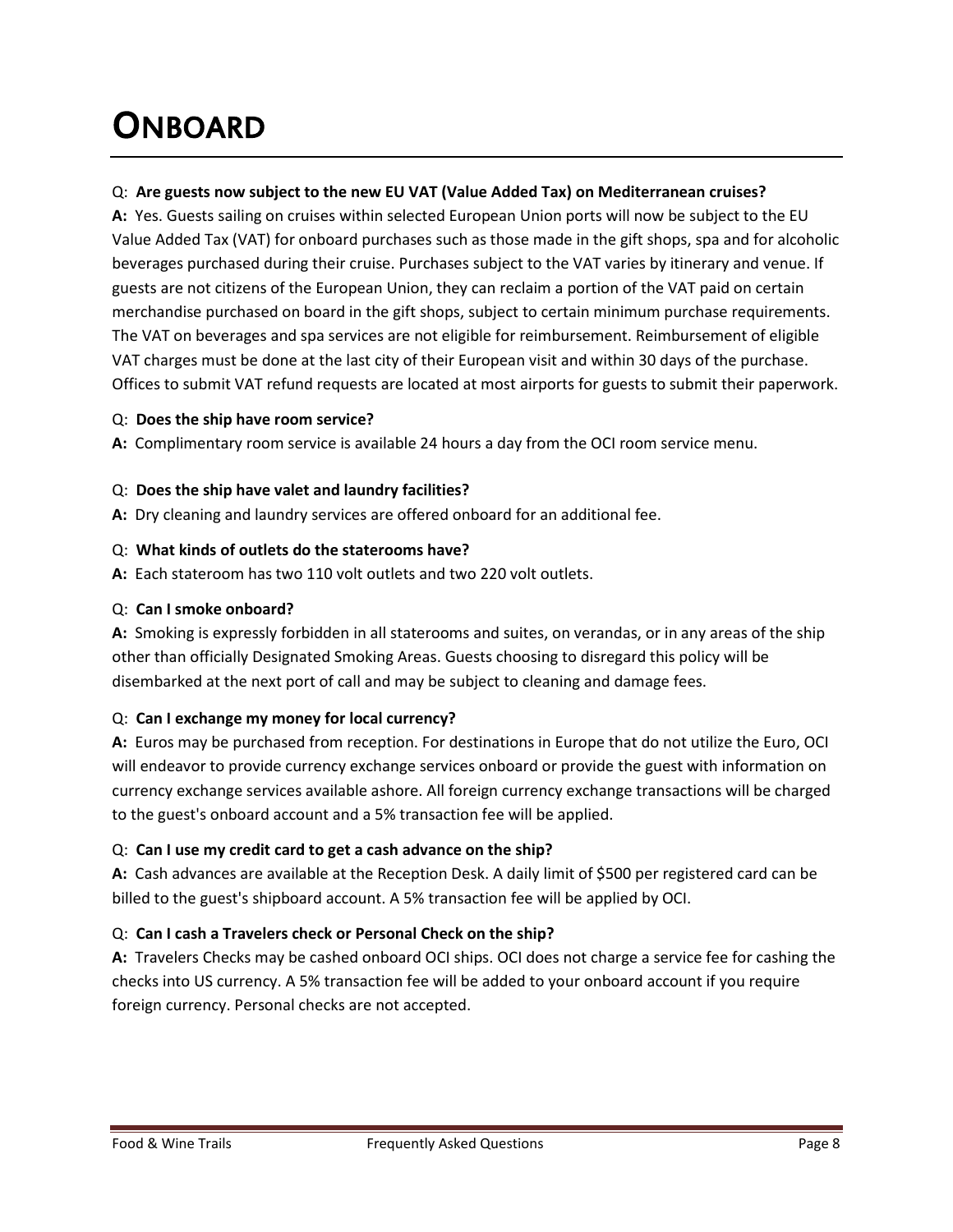## **ONBOARD**

## Q: **Are guests now subject to the new EU VAT (Value Added Tax) on Mediterranean cruises?**

**A:** Yes. Guests sailing on cruises within selected European Union ports will now be subject to the EU Value Added Tax (VAT) for onboard purchases such as those made in the gift shops, spa and for alcoholic beverages purchased during their cruise. Purchases subject to the VAT varies by itinerary and venue. If guests are not citizens of the European Union, they can reclaim a portion of the VAT paid on certain merchandise purchased on board in the gift shops, subject to certain minimum purchase requirements. The VAT on beverages and spa services are not eligible for reimbursement. Reimbursement of eligible VAT charges must be done at the last city of their European visit and within 30 days of the purchase. Offices to submit VAT refund requests are located at most airports for guests to submit their paperwork.

## Q: **Does the ship have room service?**

**A:** Complimentary room service is available 24 hours a day from the OCI room service menu.

## Q: **Does the ship have valet and laundry facilities?**

**A:** Dry cleaning and laundry services are offered onboard for an additional fee.

## Q: **What kinds of outlets do the staterooms have?**

**A:** Each stateroom has two 110 volt outlets and two 220 volt outlets.

### Q: **Can I smoke onboard?**

**A:** Smoking is expressly forbidden in all staterooms and suites, on verandas, or in any areas of the ship other than officially Designated Smoking Areas. Guests choosing to disregard this policy will be disembarked at the next port of call and may be subject to cleaning and damage fees.

## Q: **Can I exchange my money for local currency?**

**A:** Euros may be purchased from reception. For destinations in Europe that do not utilize the Euro, OCI will endeavor to provide currency exchange services onboard or provide the guest with information on currency exchange services available ashore. All foreign currency exchange transactions will be charged to the guest's onboard account and a 5% transaction fee will be applied.

## Q: **Can I use my credit card to get a cash advance on the ship?**

**A:** Cash advances are available at the Reception Desk. A daily limit of \$500 per registered card can be billed to the guest's shipboard account. A 5% transaction fee will be applied by OCI.

## Q: **Can I cash a Travelers check or Personal Check on the ship?**

**A:** Travelers Checks may be cashed onboard OCI ships. OCI does not charge a service fee for cashing the checks into US currency. A 5% transaction fee will be added to your onboard account if you require foreign currency. Personal checks are not accepted.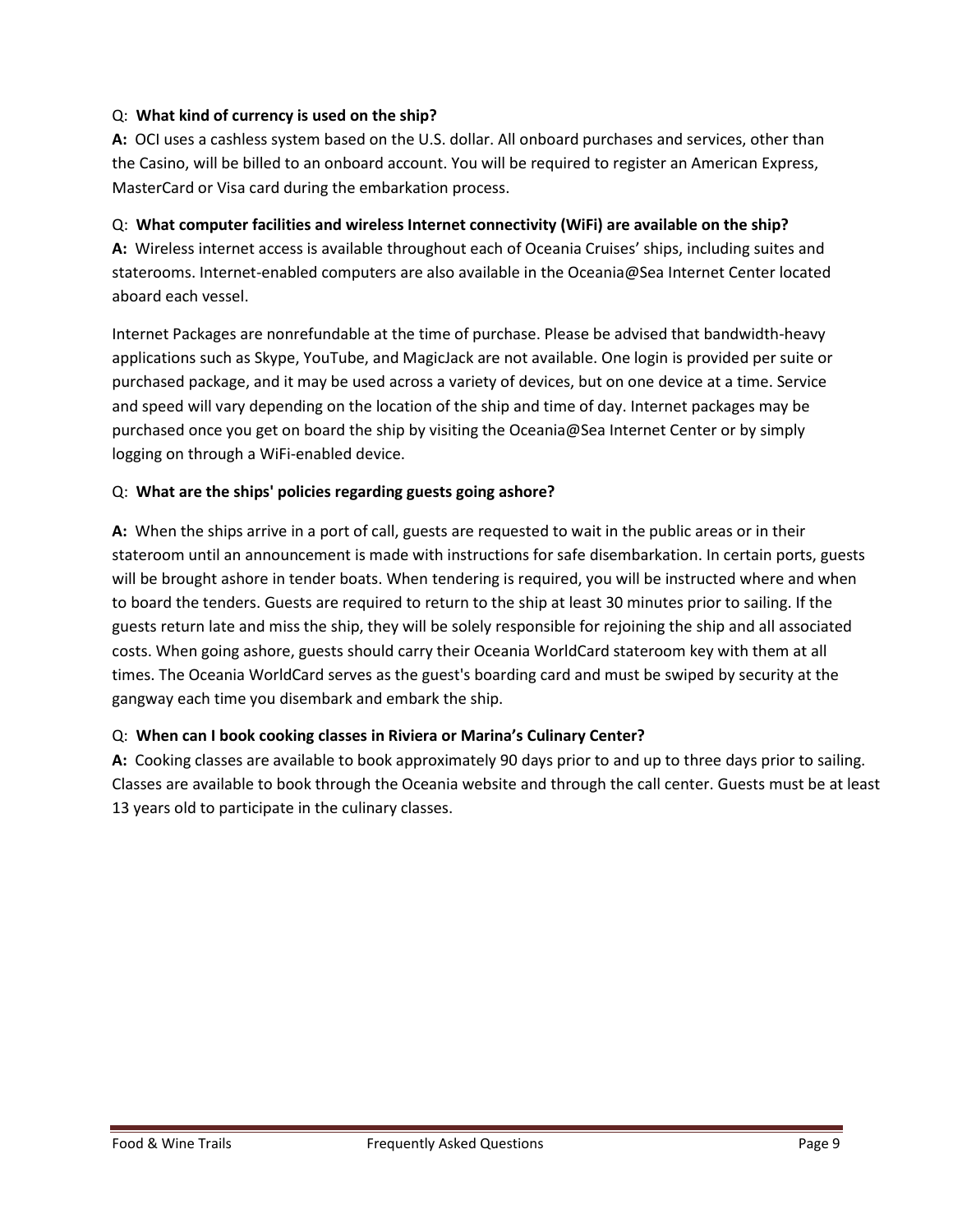## Q: **What kind of currency is used on the ship?**

**A:** OCI uses a cashless system based on the U.S. dollar. All onboard purchases and services, other than the Casino, will be billed to an onboard account. You will be required to register an American Express, MasterCard or Visa card during the embarkation process.

## Q: **What computer facilities and wireless Internet connectivity (WiFi) are available on the ship?**

**A:** Wireless internet access is available throughout each of Oceania Cruises' ships, including suites and staterooms. Internet-enabled computers are also available in the Oceania@Sea Internet Center located aboard each vessel.

Internet Packages are nonrefundable at the time of purchase. Please be advised that bandwidth-heavy applications such as Skype, YouTube, and MagicJack are not available. One login is provided per suite or purchased package, and it may be used across a variety of devices, but on one device at a time. Service and speed will vary depending on the location of the ship and time of day. Internet packages may be purchased once you get on board the ship by visiting the Oceania@Sea Internet Center or by simply logging on through a WiFi-enabled device.

## Q: **What are the ships' policies regarding guests going ashore?**

**A:** When the ships arrive in a port of call, guests are requested to wait in the public areas or in their stateroom until an announcement is made with instructions for safe disembarkation. In certain ports, guests will be brought ashore in tender boats. When tendering is required, you will be instructed where and when to board the tenders. Guests are required to return to the ship at least 30 minutes prior to sailing. If the guests return late and miss the ship, they will be solely responsible for rejoining the ship and all associated costs. When going ashore, guests should carry their Oceania WorldCard stateroom key with them at all times. The Oceania WorldCard serves as the guest's boarding card and must be swiped by security at the gangway each time you disembark and embark the ship.

## Q: **When can I book cooking classes in Riviera or Marina's Culinary Center?**

**A:** Cooking classes are available to book approximately 90 days prior to and up to three days prior to sailing. Classes are available to book through the Oceania website and through the call center. Guests must be at least 13 years old to participate in the culinary classes.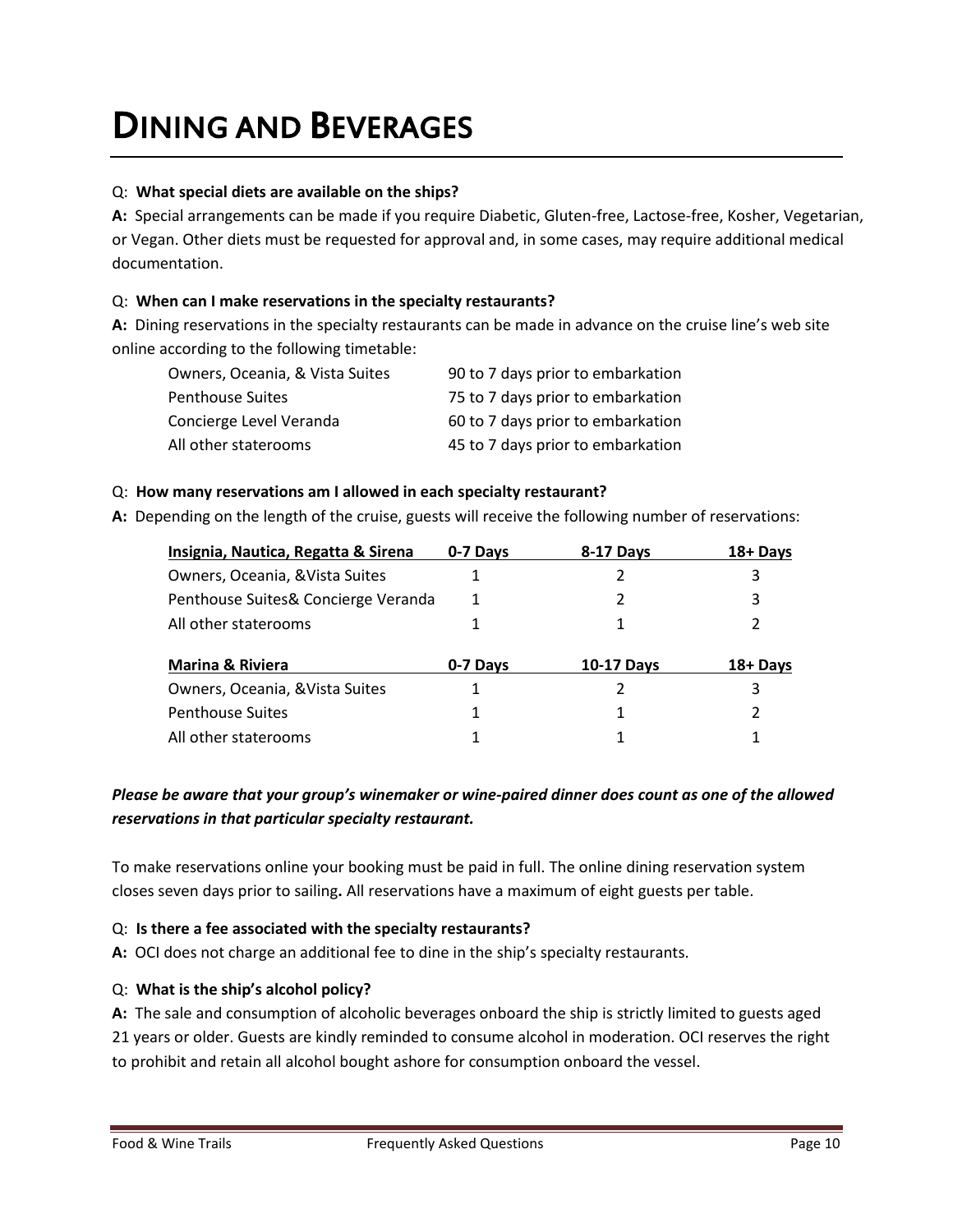## DINING AND BEVERAGES

## Q: **What special diets are available on the ships?**

**A:** Special arrangements can be made if you require Diabetic, Gluten-free, Lactose-free, Kosher, Vegetarian, or Vegan. Other diets must be requested for approval and, in some cases, may require additional medical documentation.

## Q: **When can I make reservations in the specialty restaurants?**

**A:** Dining reservations in the specialty restaurants can be made in advance on the cruise line's web site online according to the following timetable:

| Owners, Oceania, & Vista Suites | 90 to 7 days prior to embarkation |
|---------------------------------|-----------------------------------|
| <b>Penthouse Suites</b>         | 75 to 7 days prior to embarkation |
| Concierge Level Veranda         | 60 to 7 days prior to embarkation |
| All other staterooms            | 45 to 7 days prior to embarkation |

## Q: **How many reservations am I allowed in each specialty restaurant?**

**A:** Depending on the length of the cruise, guests will receive the following number of reservations:

| Insignia, Nautica, Regatta & Sirena | 0-7 Davs | <b>8-17 Days</b>  | 18+ Days |
|-------------------------------------|----------|-------------------|----------|
| Owners, Oceania, & Vista Suites     |          |                   | 3        |
| Penthouse Suites& Concierge Veranda |          |                   | 3        |
| All other staterooms                |          |                   | 2        |
|                                     |          |                   | 18+ Days |
| <b>Marina &amp; Riviera</b>         | 0-7 Days | <b>10-17 Days</b> |          |
| Owners, Oceania, & Vista Suites     |          |                   | 3        |
| <b>Penthouse Suites</b>             |          |                   | 2        |
| All other staterooms                |          |                   |          |

## *Please be aware that your group's winemaker or wine-paired dinner does count as one of the allowed reservations in that particular specialty restaurant.*

To make reservations online your booking must be paid in full. The online dining reservation system closes seven days prior to sailing**.** All reservations have a maximum of eight guests per table.

## Q: **Is there a fee associated with the specialty restaurants?**

**A:** OCI does not charge an additional fee to dine in the ship's specialty restaurants.

### Q: **What is the ship's alcohol policy?**

**A:** The sale and consumption of alcoholic beverages onboard the ship is strictly limited to guests aged 21 years or older. Guests are kindly reminded to consume alcohol in moderation. OCI reserves the right to prohibit and retain all alcohol bought ashore for consumption onboard the vessel.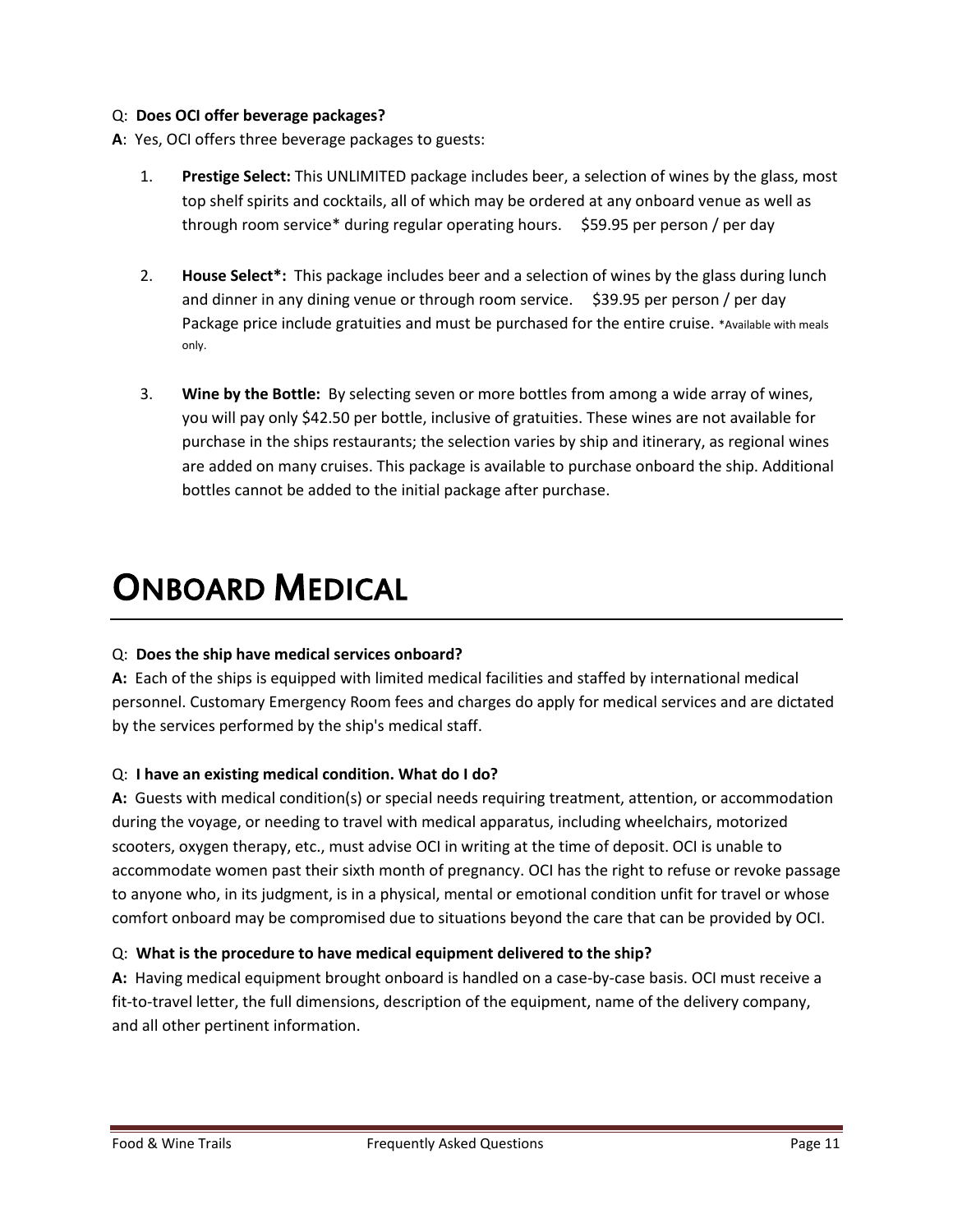## Q: **Does OCI offer beverage packages?**

- **A**: Yes, OCI offers three beverage packages to guests:
	- 1. **Prestige Select:** This UNLIMITED package includes beer, a selection of wines by the glass, most top shelf spirits and cocktails, all of which may be ordered at any onboard venue as well as through room service\* during regular operating hours. \$59.95 per person / per day
	- 2. **House Select\*:** This package includes beer and a selection of wines by the glass during lunch and dinner in any dining venue or through room service. \$39.95 per person / per day Package price include gratuities and must be purchased for the entire cruise. \*Available with meals only.
	- 3. **Wine by the Bottle:** By selecting seven or more bottles from among a wide array of wines, you will pay only \$42.50 per bottle, inclusive of gratuities. These wines are not available for purchase in the ships restaurants; the selection varies by ship and itinerary, as regional wines are added on many cruises. This package is available to purchase onboard the ship. Additional bottles cannot be added to the initial package after purchase.

## ONBOARD MEDICAL

## Q: **Does the ship have medical services onboard?**

**A:** Each of the ships is equipped with limited medical facilities and staffed by international medical personnel. Customary Emergency Room fees and charges do apply for medical services and are dictated by the services performed by the ship's medical staff.

## Q: **I have an existing medical condition. What do I do?**

**A:** Guests with medical condition(s) or special needs requiring treatment, attention, or accommodation during the voyage, or needing to travel with medical apparatus, including wheelchairs, motorized scooters, oxygen therapy, etc., must advise OCI in writing at the time of deposit. OCI is unable to accommodate women past their sixth month of pregnancy. OCI has the right to refuse or revoke passage to anyone who, in its judgment, is in a physical, mental or emotional condition unfit for travel or whose comfort onboard may be compromised due to situations beyond the care that can be provided by OCI.

### Q: **What is the procedure to have medical equipment delivered to the ship?**

**A:** Having medical equipment brought onboard is handled on a case-by-case basis. OCI must receive a fit-to-travel letter, the full dimensions, description of the equipment, name of the delivery company, and all other pertinent information.